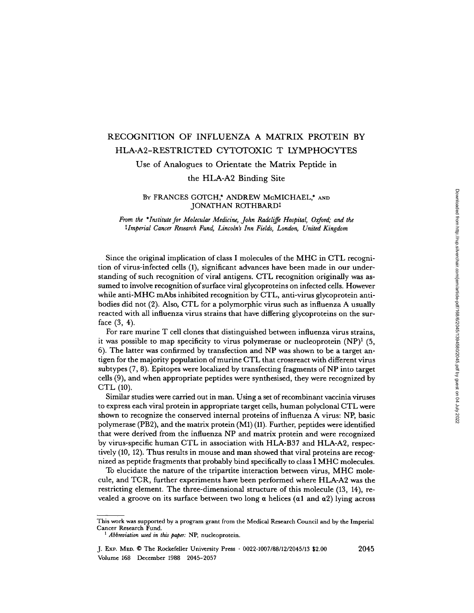# RECOGNITION OF INFLUENZA A MATRIX PROTEIN BY HLA-A2-RESTRICTED CYTOTOXIC T LYMPHOCYTES

#### Use of Analogues to Orientate the Matrix Peptide in

## the HLA-A2 Binding Site

#### By FRANCES GOTCH,\* ANDREW McMICHAEL,\* AND JONATHAN ROTHBARDI

#### From the \*Institute for Molecular Medicine, John Radcliffe Hospital, Oxford; and the \$Imperial Cancer Research Fund, Lincoln's Inn Fields, London, United Kingdom

Since the original implication of class <sup>I</sup> molecules of the MHC in CTL recognition of virus-infected cells (1), significant advances have been made in our understanding of such recognition of viral antigens. CTL recognition originally was assumed to involve recognition of surface viral glycoproteins on infected cells . However while anti-MHC mAbs inhibited recognition by CTL, anti-virus glycoprotein antibodies did not (2). Also, CTL for a polymorphic virus such as influenza A usually reacted with all influenza virus strains that have differing glycoproteins on the surface  $(3, 4)$ .

For rare murine T cell clones that distinguished between influenza virus strains, it was possible to map specificity to virus polymerase or nucleoprotein  $(NP)^{1}$  (5, 6) . The latter was confirmed by transfection and NP was shown to be a target antigen for the majority population of murine CTL that crossreact with different virus subtypes (7, 8) . Epitopes were localized by transfecting fragments of NP into target cells (9), and when appropriate peptides were synthesised, they were recognized by CTL (10).

Similar studies were carried out in man. Using a set of recombinant vaccinia viruses to express each viral protein in appropriate target cells, human polyclonal CTL were shown to recognize the conserved internal proteins of influenza A virus: NP, basic polymerase (PB2), and the matrix protein (Ml) (11) . Further, peptides were identified that were derived from the influenza NP and matrix protein and were recognized by virus-specific human CTL in association with HLA-B37 and HLA-A2, respectively (10, 12). Thus results in mouse and man showed that viral proteins are recognized as peptide fragments that probably bind specifically to class <sup>I</sup> MHC molecules.

To elucidate the nature of the tripartite interaction between virus, MHC molecule, and TCR, further experiments have been performed where HLA-A2 was the restricting element. The three-dimensional structure of this molecule (13, 14), revealed a groove on its surface between two long  $\alpha$  helices ( $\alpha$ 1 and  $\alpha$ 2) lying across

This work was supported by a program grant from the Medical Research Council and by the Imperial Cancer Research Fund.

Abbreviation used in this paper: NP, nucleoprotein.

J. Exp. Men. ® The Rockefeller University Press " 0022-1007/88/12/2045/13 \$2 .00 2045 Volume 168 December 1988 2045-2057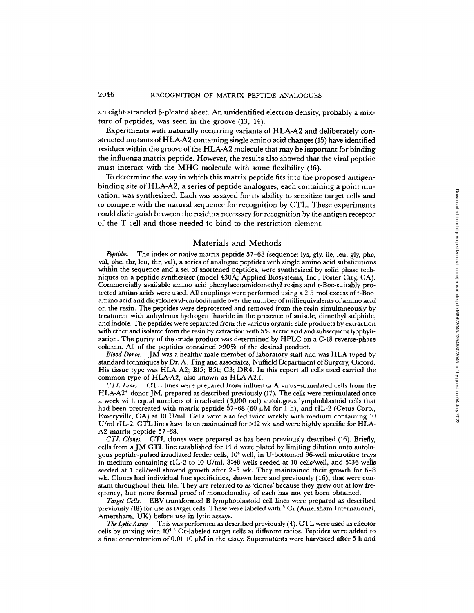# 2046 RECOGNITION OF MATRIX PEPTIDE ANALOGUES

an eight-stranded  $\beta$ -pleated sheet. An unidentified electron density, probably a mixture of peptides, was seen in the groove (13, 14).

Experiments with naturally occurring variants of HLA-A2 and deliberately constructed mutants of HLA-A2 containing single amino acid changes (15) have identified residues within the groove of the HLA-A2 molecule that may be important for binding the influenza matrix peptide. However, the results also showed that the viral peptide must interact with the MHC molecule with some flexibility (16).

To determine the way in which this matrix peptide fits into the proposed antigenbinding site of HLA-A2, a series of peptide analogues, each containing a point mutation, was synthesized. Each was assayed for its ability to sensitize target cells and to compete with the natural sequence for recognition by CTL. These experiments could distinguish between the residues necessary for recognition by the antigen receptor of the T cell and those needed to bind to the restriction element.

#### Materials and Methods

Peptides. The index or native matrix peptide 57-68 (sequence: lys, gly, ile, leu, gly, phe, val, phe, thr, leu, thr, val), a series ofanalogue peptides with single amino acid substitutions within the sequence and a set of shortened peptides, were synthesized by solid phase techniques on a peptide synthesiser (model 430A; Applied Biosystems, Inc., Foster City, CA). Commercially available amino acid phenylacetamidomethyl resins and t-Boc-suitably protected amino acids were used. All couplings were performed using a <sup>2</sup> .5-mol excess of t-Bocamino acid and dicyclohexyl-carbodiimide over the number ofmilliequivalents ofamino acid on the resin . The peptides were deprotected and removed from the resin simultaneously by treatment with anhydrous hydrogen fluoride in the presence of anisole, dimethyl sulphide, and indole. The peptides were separated from the various organic side products by extraction with ether and isolated from the resin by extraction with  $5\%$  acetic acid and subsequent lyophylization. The purity of the crude product was determined by HPLC on <sup>a</sup> C-18 reverse-phase column. All of the peptides contained >90% of the desired product.

Blood Donor. JM was a healthy male member of laboratory staff and was HLA typed by standard techniques by Dr. A. Ting and associates, Nuffield Department of Surgery, Oxford. His tissue type was HLA A2; B15; B51; C3; DR4. In this report all cells used carried the common type of HLA-A2, also known as HLA-A2.1.

CTL Lines . CTL lines were prepared from influenza A virus-stimulated cells from the HLA-A2' donorJM, prepared as described previously (17) . The cells were restimulated once <sup>a</sup> week with equal numbers of irradiated (3,000 rad) autologous lymphoblastoid cells that had been pretreated with matrix peptide  $57-68$  (60  $\mu$ M for 1 h), and rIL-2 (Cetus Corp., Emeryville, CA) at 10 U/ml. Cells were also fed twice weekly with medium containing <sup>10</sup> U/ml rIL-2. CTL lines have been maintained for >12 wk and were highly specific for HLA-A2 matrix peptide 57-68.

CTL Clones . CTL clones were prepared as has been previously described (16) . Briefly, cells from <sup>a</sup>JM CTL line established for <sup>14</sup> d were plated by limiting dilution onto autologous peptide-pulsed irradiated feeder cells, 104 well, in U-bottomed 96-well microtitre trays in medium containing rIL-2 to <sup>10</sup> U/ml. 8:48 wells seeded at <sup>10</sup> cells/well, and 5 :36 wells seeded at <sup>1</sup> cell/well showed growth after 2-3 wk. They maintained their growth for 6-8 wk. Clones had individual fine specificities, shown here and previously (16), that were constant throughout their life. They are referred to as 'clones' because they grew out at low frequency, but more formal proof of monoclonality of each has not yet been obtained.

Target Cells. EBV-transformed B lymphoblastoid cell lines were prepared as described previously (18) for use as target cells. These were labeled with  ${}^{51}Cr$  (Amersham International, Amersham, UK) before use in lytic assays.

The Lytic Assay. This was performed as described previously (4). CTL were used as effector cells by mixing with 10 4 <sup>5</sup> 'Cr-labeled target cells at different ratios . Peptides were added to a final concentration of 0.01-10  $\mu$ M in the assay. Supernatants were harvested after 5 h and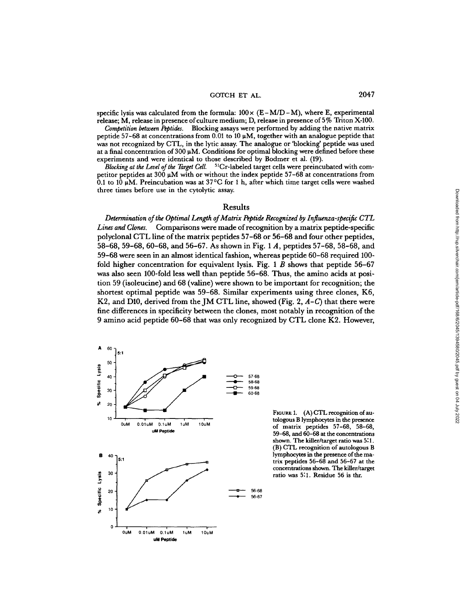specific lysis was calculated from the formula:  $100 \times (E-M/D-M)$ , where E, experimental release;  $M$ , release in presence of culture medium; D, release in presence of 5% Triton X-100.

Competition between Peptides. Blocking assays were performed by adding the native matrix peptide 57-68 at concentrations from 0.01 to 10  $\mu$ M, together with an analogue peptide that was not recognized by CTL, in the lytic assay. The analogue or `blocking' peptide was used at a final concentration of300 pM. Conditions for optimal blocking were defined before these experiments and were identical to those described by Bodmer et al. (19) .

Blocking at the Level of the Target Cell. <sup>51</sup>Cr-labeled target cells were preincubated with competitor peptides at 300  $\mu$ M with or without the index peptide 57-68 at concentrations from 0.1 to 10  $\mu$ M. Preincubation was at 37°C for 1 h, after which time target cells were washed three times before use in the cytolytic assay.

#### Results

Determination of the Optimal Length of Matrix Peptide Recognized by Influenza-specific CTL<br>Lines and Clones. Comparisons were made of recognition by a matrix peptide-specific Lines and Clones. Comparisons were made of recognition by a matrix peptide-specific polyclonal CTL line of the matrix peptides 57-68 or 56-68 and four other peptides, 58-68, 59-68, 60-68, and 56-67 . As shown in Fig. <sup>1</sup> A, peptides 57-68, 58-68, and 59-68 were seen in an almost identical fashion, whereas peptide 60-68 required 100 fold higher concentration for equivalent lysis. Fig. <sup>1</sup> B shows that peptide 56-67 was also seen 100-fold less well than peptide 56-68. Thus, the amino acids at position 59 (isoleucine) and 68 (valine) were shown to be important for recognition; the shortest optimal peptide was 59-68. Similar experiments using three clones, K6, K2, and D10, derived from the JM CTL line, showed (Fig. 2,  $A-C$ ) that there were fine differences in specificity between the clones, most notably in recognition of the 9 amino acid peptide 60-68 that was only recognized by CTL clone K2. However, by Influenza-specific CTL<br>
matrix peptide-specific<br>
des 57-68, 58-68, and<br>
de 60-68 required 100-<br>
ws that peptide 56-67<br>
e amino acids at posi-<br>
in for recognition; the<br>
prime clones, K6,<br>
i, A-C) that there were<br>
y in r



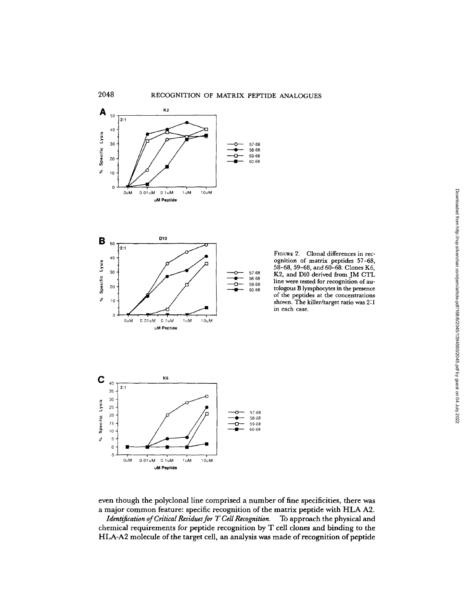

2048 RECOGNITION OF MATRIX PEPTIDE ANALOGUES

even though the polyclonal line comprised a number of fine speciftcities, there was a major common feature: specific recognition of the matrix peptide with HLA A2.<br>Identification of Critical Residues for T Cell Recognition. To approach the physical and

Identification of Critical Residues for T Cell Recognition. chemical requirements for peptide recognition by T cell clones and binding to the HLA-A2 molecule of the target cell, an analysis was made of recognition of peptide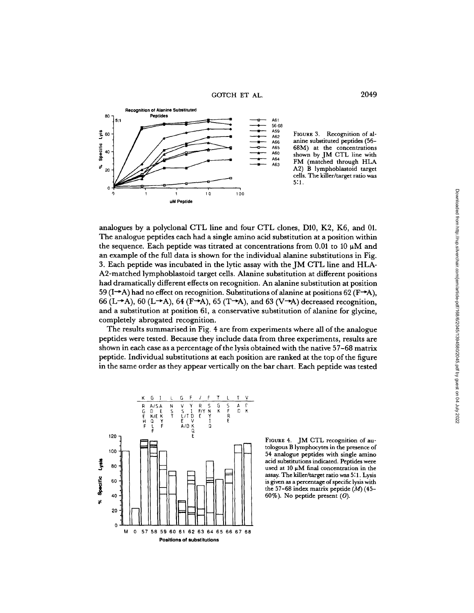

analogues by <sup>a</sup> polyclonal CTL line and four CTL clones, D10, K2, K6, and <sup>01</sup> . The analogue peptides each had a single amino acid substitution at a position within the sequence. Each peptide was titrated at concentrations from  $0.01$  to  $10 \mu M$  and an example of the full data is shown for the individual alanine substitutions in Fig. 3. Each peptide was incubated in the lytic assay with the JM CTL line and HLA-A2-matched lymphoblastoid target cells. Alanine substitution at different positions had dramatically different effects on recognition. An alanine substitution at position 59 (I $\rightarrow$ A) had no effect on recognition. Substitutions of alanine at positions 62 (F $\rightarrow$ A), 66 (L→A), 60 (L→A), 64 (F→A), 65 (T→A), and 63 (V→A) decreased recognition, and a substitution at position 61, a conservative substitution of alanine for glycine, completely abrogated recognition.

The results summarised in Fig. 4 are from experiments where all of the analogue peptides were tested . Because they include data from three experiments, results are shown in each case as a percentage ofthe lysis obtained with the native 57-68 matrix peptide. Individual substitutions at each position are ranked at the top of the figure in the same order as they appear vertically on the bar chart. Each peptide was tested



FIGURE 4. JM CTL recognition of autologous Blymphocytes in the presence of 54 analogue peptides with single amino acid substitutions indicated. Peptides were used at 10  $\mu$ M final concentration in the assay. The killer/target ratio was 5:1. Lysis is given as apercentage of specific lysis with the 57-68 index matrix peptide  $(M)$  (45-60%). No peptide present  $(0)$ .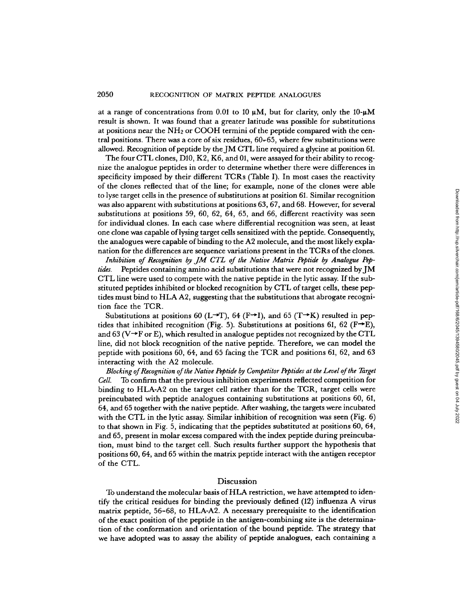at a range of concentrations from 0.01 to 10  $\mu$ M, but for clarity, only the 10- $\mu$ M result is shown. It was found that a greater latitude was possible for substitutions at positions near the NH2 or COOH termini of the peptide compared with the central positions. There was a core of six residues, 60-65, where few substitutions were allowed. Recognition of peptide by theJM CTLline required a glycine at position 61 .

The four CTL clones, D10, K2, K6, and 01, were assayed for their ability to recognize the analogue peptides in order to determine whether there were differences in specificity imposed by their different TCRs (Table I). In most cases the reactivity of the clones reflected that of the line; for example, none of the clones were able to lyse target cells in the presence of substitutions at position 61 . Similar recognition was also apparent with substitutions at positions 63, 67, and 68. However, for several substitutions at positions 59, 60, 62, 64, 65, and 66, different reactivity was seen for individual clones . In each case where differential recognition was seen, at least one clone was capable oflysing target cells sensitized with the peptide. Consequently, the analogues were capable of binding to the A2 molecule, and the most likely explanation for the differences are sequence variations present in the TCRs of the clones .

Inhibition of Recognition by JM CTL of the Native Matrix Peptide by Analogue Pep-<br>tides. Peptides containing amino acid substitutions that were not recognized by JM Peptides containing amino acid substitutions that were not recognized by JM CTLline were used to compete with the native peptide in the lytic assay. If the substituted peptides inhibited or blocked recognition by CTL of target cells, these peptides must bind to HLAA2, suggesting that the substitutions that abrogate recognition face the TCR.

Substitutions at positions 60 (L<sup>-+</sup>T), 64 (F<sup>-+</sup>I), and 65 (T<sup>-+</sup>K) resulted in peptides that inhibited recognition (Fig. 5). Substitutions at positions 61, 62 ( $F\rightarrow E$ ), and 63 ( $V \rightarrow F$  or E), which resulted in analogue peptides not recognized by the CTL line, did not block recognition of the native peptide. Therefore, we can model the peptide with positions 60, 64, and <sup>65</sup> facing the TCR and positions 61, 62, and <sup>63</sup> interacting with the A2 molecule.

Blocking of Recognition of the Native Peptide by Competitor Peptides at the Level of the Target Cell. To confirm that the previous inhibition experiments reflected competition for To confirm that the previous inhibition experiments reflected competition for binding to HLA-A2 on the target cell rather than for the TCR, target cells were preincubated with peptide analogues containing substitutions at positions 60, 61, 64, and 65 together with the native peptide. After washing, the targets were incubated with the CTL in the lytic assay. Similar inhibition of recognition was seen (Fig. 6) to that shown in Fig. 5, indicating that the peptides substituted at positions 60, 64, and 65, present in molar excess compared with the index peptide during preincubation, must bind to the target cell . Such results further support the hypothesis that positions 60, 64, and 65 within the matrix peptide interact with the antigen receptor of the CTL.

### Discussion

To understand the molecular basis of HLA restriction, we have attempted to identify the critical residues for binding the previously defined (12) influenza A virus matrix peptide, 56-68, to HLA-A2 . A necessary prerequisite to the identification of the exact position of the peptide in the antigen-combining site is the determination of the conformation and orientation of the bound peptide. The strategy that we have adopted was to assay the ability of peptide analogues, each containing a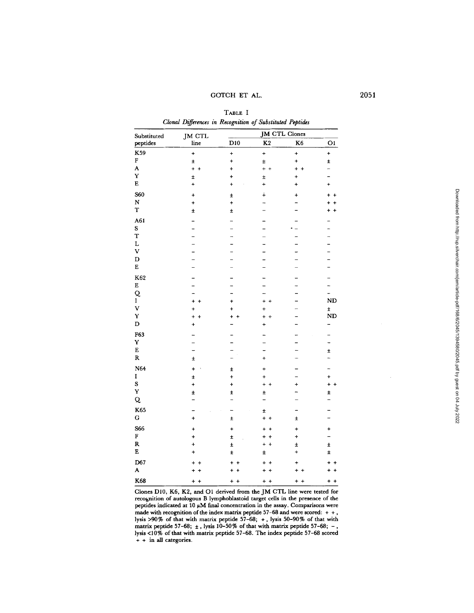| TABLE I |  |  |                                                           |  |  |  |  |  |
|---------|--|--|-----------------------------------------------------------|--|--|--|--|--|
|         |  |  | Clonal Differences in Recognition of Substituted Peptides |  |  |  |  |  |

| Substituted<br>peptides                 | <b>JM CTL</b><br>line       | JM CTL Clones  |                                   |                     |                           |  |  |
|-----------------------------------------|-----------------------------|----------------|-----------------------------------|---------------------|---------------------------|--|--|
|                                         |                             | D10            | K <sub>2</sub>                    | K <sub>6</sub>      | O1                        |  |  |
| K59                                     | $\ddotmark$                 | $^{+}$         | $\ddot{}$                         | $\ddot{}$           | $\ddot{}$                 |  |  |
| F                                       | $\pm$                       | $\ddot{}$      | $\pm$                             | $\ddotmark$         | $\pm$                     |  |  |
| $\overline{\mathbf{A}}$                 | $\ddot{}$<br>$\overline{+}$ | $\ddot{}$      | $+ +$                             | +<br>$\ddot{}$      | $\overline{a}$            |  |  |
| Y                                       | $\pm$                       | $\ddot{}$      | $\pm$                             | $\ddot{}$           |                           |  |  |
| E                                       | $\ddot{}$                   | $\ddotmark$    | $\ddot{}$                         | $\ddot{}$           | $\ddot{}$                 |  |  |
| <b>S60</b>                              | $\ddot{}$                   | Ŧ              | Ť.                                | <sup>+</sup>        |                           |  |  |
| $\overline{\mathbf{N}}$                 | $\ddot{}$                   | $\ddot{}$      |                                   |                     | $\ddot{}$                 |  |  |
| T                                       | $\pm$                       | Ŧ              |                                   |                     | $\ddot{}$                 |  |  |
| A61                                     |                             | ۳              |                                   |                     |                           |  |  |
| ${\bf S}$                               |                             |                |                                   |                     |                           |  |  |
| T                                       |                             |                |                                   |                     |                           |  |  |
| L                                       |                             |                |                                   |                     |                           |  |  |
| $\overline{\mathbf{V}}$                 | -                           | ÷              |                                   |                     | -                         |  |  |
| $\mathbf D$                             |                             |                |                                   |                     |                           |  |  |
| $\mathbf E$                             |                             |                |                                   |                     | $\overline{\phantom{0}}$  |  |  |
| K62                                     |                             |                |                                   |                     |                           |  |  |
| ${\bf E}$                               |                             |                |                                   |                     | ÷                         |  |  |
| Q                                       |                             |                |                                   |                     | ÷                         |  |  |
| $\mathbf{I}$<br>$\overline{\mathbf{V}}$ | 4<br>$\ddot{}$              | $\ddot{}$      | 4                                 |                     | <b>ND</b>                 |  |  |
| Y                                       | ÷<br>$\ddot{}$              | ÷<br>÷         | 4                                 |                     | Ŧ<br>ND                   |  |  |
| $\mathbf D$                             | $\ddot{}$<br>$\ddot{}$      | $\ddot{}$      | $\ddot{}$<br>$\overline{1}$       |                     | -                         |  |  |
| F63                                     |                             |                |                                   |                     |                           |  |  |
| Y                                       |                             |                |                                   |                     |                           |  |  |
| $\bf E$                                 |                             |                |                                   |                     | Ŧ                         |  |  |
| $\, {\bf R}$                            | $\pm$                       |                | ÷                                 |                     | ÷                         |  |  |
| N64                                     | $\ddotmark$                 | $\pm$          | $\ddot{}$                         |                     |                           |  |  |
| $\mathbf I$                             | $\pm$                       | $\ddot{}$      | $\ddot{}$                         |                     | ÷.                        |  |  |
| ${\bf S}$                               | $\ddot{}$                   | $\ddot{}$      | $\ddot{}$<br>$\ddot{}$            | $\ddot{}$           | $\ddot{}$                 |  |  |
| $\mathbf Y$                             | Ŧ                           | Ŧ              | Ŧ                                 |                     | Ŧ                         |  |  |
| Q                                       | -                           | ÷              | $\overline{\phantom{0}}$          |                     | $\overline{a}$            |  |  |
| K65                                     |                             |                | Ŧ                                 |                     |                           |  |  |
| G                                       | $\ddotmark$                 | $\pm$          | $\ddot{\phantom{1}}$<br>$\ddot{}$ | $\pm$               |                           |  |  |
| S66                                     | $\ddot{}$                   | $\ddot{}$      |                                   | $\ddot{}$           | $\ddot{}$                 |  |  |
| F                                       | $\ddot{}$                   | $\pm$          | $\ddot{}$                         | $\ddot{}$           |                           |  |  |
| $\, {\bf R}$                            | $\ddotmark$                 | $\pm$          | $\ddot{}$                         | $\pm$               | $\pm$                     |  |  |
| E                                       | $\ddotmark$                 | $\pm$          | Ŧ                                 | $\ddot{+}$          | Ŧ                         |  |  |
| D67                                     |                             |                | $\ddot{}$                         | 4                   |                           |  |  |
| A                                       |                             | $\ddot{}$<br>4 | $\ddot{}$                         | 4<br>4              | $\ddot{}$                 |  |  |
| K68                                     | $\ddot{}$<br>$+$            | $+ +$          | $+$<br>÷                          | $\ddot{}$<br>$^{+}$ | $\ddot{\phantom{1}}$<br>+ |  |  |

Clones D10, K6, K2, and 01 derived from theJM CTL line were tested for recognition of autologous B lymphoblastoid target cells in the presence of the peptides indicated at <sup>10</sup> WM final concentration in the assay. Comparisons were made with recognition of the index matrix peptide  $57-68$  and were scored:  $+$ , lysis >90% of that with matrix peptide 57-68; +, lysis 50-90% of that with matrix peptide 57-68;  $\pm$  , lysis 10-50% of that with matrix peptide 57-68; lysis <10% of that with matrix peptide 57-68. The index peptide 57-68 scored <sup>+</sup> <sup>+</sup> in all categories.

 $\bar{\beta}$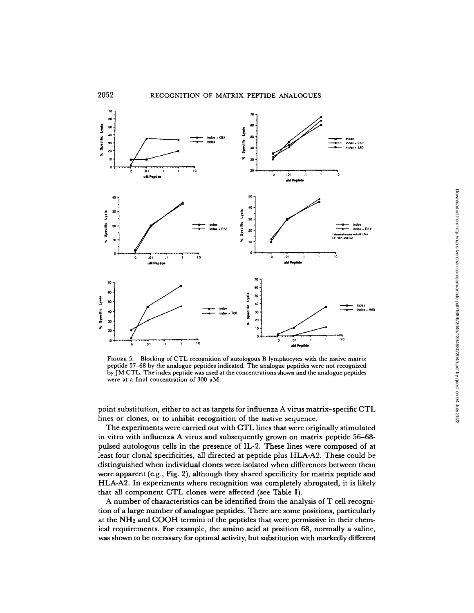

FIGURE 5. Blocking of CTL recognition of autologous B lymphocytes with the native matrix peptide 57-68 by the analogue peptides indicated. The analogue peptides were not recognized by JM CTL. The index peptide was used at the concentrations shown and the analogue peptides were at a final concentration of  $300 \mu M$ .

point substitution, either to act as targets for influenza A virus matrix-specific CTL lines or clones, or to inhibit recognition of the native sequence.

The experiments were carried out with CTL lines that were originally stimulated in vitro with influenza A virus and subsequently grown on matrix peptide 56-68 pulsed autologous cells in the presence of IL-2. These lines were composed of at least four clonal specificities, all directed at peptide plus HLA-A2. These could be distinguished when individual clones were isolated when differences between them were apparent (e.g., Fig. 2), although they shared specificity for matrix peptide and HLA-A2. In experiments where recognition was completely abrogated, it is likely that all component CTL clones were affected (see Table I).

that all component CTL clones were affected (see Table I) . <sup>A</sup> number of characteristics can be identified from the analysis of Tcell recognition of alarge number of analogue peptides. There are some positions, particularly at the NH2 and COOH termini of the peptides that were permissive in their chemical requirements. For example, the amino acid at position 68, normally a valine, was shown to be necessary for optimal activity, but substitution with markedly different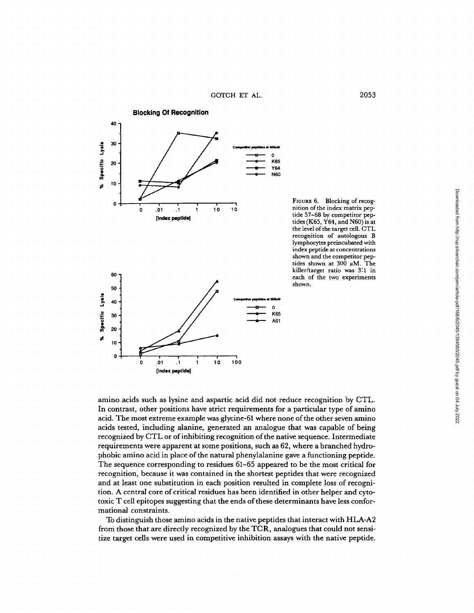

FIGURE 6. Blocking of recognition of the index matrix peptide 57-68 by competitor peptides (K65, Y64, and N60) is at the level of the target cell . CTL recognition of autologous B lymphocytes preincubated with index peptide at concentrations shown and the competitor peptides shown at 300 µM. The killer/target ratio was 3 :1 in each of the two experiments shown.

amino acids such as lysine and aspartic acid did not reduce recognition by CTL. In contrast, other positions have strict requirements for a particular type of amino acid. The most extreme example was glycine-61 where none of the other seven amino acids tested, including alanine, generated an analogue that was capable of being recognized by CTL or of inhibiting recognition of the native sequence. Intermediate requirements were apparent at some positions, such as 62, where abranched hydrophobic amino acid in place of the natural phenylalanine gave a functioning peptide. The sequence corresponding to residues 61-65 appeared to be the most critical for recognition, because it was contained in the shortest peptides that were recognized and at least one substitution in each position resulted in complete loss of recognition. A central core of critical residues has been identified in other helper and cytotoxic T cell epitopes suggesting that the ends of these determinants have less conformational constraints.

To distinguish those amino acids in the native peptides that interact with HLA-A2 from those that are directly recognized by the TCR, analogues that could not sensitize target cells were used in competitive inhibition assays with the native peptide.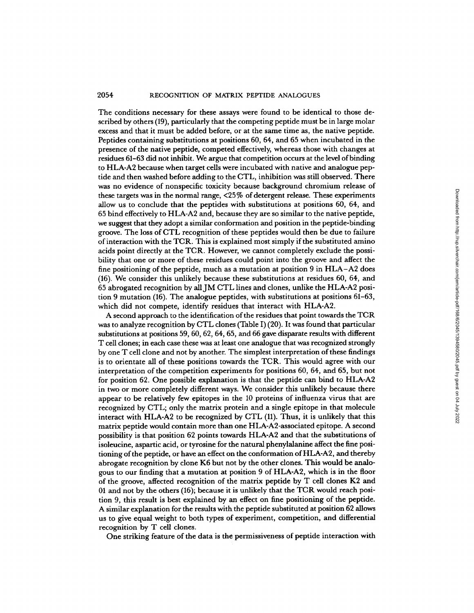# 2054 RECOGNITION OF MATRIX PEPTIDE ANALOGUES

The conditions necessary for these assays were found to be identical to those described by others (19), particularly that the competing peptide must be in large molar excess and that it must be added before, or at the same time as, the native peptide. Peptides containing substitutions at positions 60, 64, and 65 when incubated in the presence of the native peptide, competed effectively, whereas those with changes at residues 61-63 did not inhibit. We argue that competition occurs at the level of binding to HLA-A2 because when target cells were incubated with native and analogue peptide and then washed before adding to the CTL, inhibition was still observed. There was no evidence of nonspecific toxicity because background chromium release of these targets was in the normal range,  $\langle 25\%$  of detergent release. These experiments allow us to conclude that the peptides with substitutions at positions 60, 64, and 65 bind effectively to HLA-A2 and, because they are so similar to the native peptide, we suggest that they adopt a similar conformation and position in the peptide-binding groove . The loss of CTL recognition of these peptides would then be due to failure of interaction with the TCR. This is explained most simply if the substituted amino acids point directly at the TCR. However, we cannot completely exclude the possibility that one or more of these residues could point into the groove and affect the fine positioning of the peptide, much as a mutation at position <sup>9</sup> in HLA-A2 does (16) . We consider this unlikely because these substitutions at residues 60, 64, and <sup>65</sup> abrogated recognition by allJM CTLlines and clones, unlike the HLA-A2 position 9 mutation (16). The analogue peptides, with substitutions at positions 61-63, which did not compete, identify residues that interact with HLA-A2.

A second approach to the identification of the residues that point towards the TCR was to analyze recognition by CTL clones (Table I) (20). It was found that particular substitutions at positions 59, 60, 62, 64, 65, and 66 gave disparate results with different T cell clones; in each case these was at least one analogue that was recognized strongly by one T cell clone and not by another. The simplest interpretation of these findings is to orientate all of these positions towards the TCR. This would agree with our interpretation of the competition experiments for positions 60, 64, and 65, but not for position <sup>62</sup> . One possible explanation is that the peptide can bind to HLA-A2 in two or more completely different ways. We consider this unlikely because there appear to be relatively few epitopes in the 10 proteins of influenza virus that are recognized by CTL; only the matrix protein and a single epitope in that molecule interact with HLA-A2 to be recognized by CTL (11) . Thus, it is unlikely that this matrix peptide would contain more than one HLA-A2-associated epitope. A second possibility is that position 62 points towards HLA-A2 and that the substitutions of isoleucine, aspartic acid, or tyrosine for the natural phenylalanine affect the fine positioning ofthe peptide, or have an effect on the conformation ofHLA-A2, and thereby abrogate recognition by clone K6 but not by the other clones. This would be analogous to our finding that a mutation at position 9 of HLA-A2, which is in the floor of the groove, affected recognition of the matrix peptide by T cell clones K2 and 01 and not by the others (16); because it is unlikely that the TCR would reach position 9, this result is best explained by an effect on fine positioning of the peptide. A similar explanation for the results with the peptide substituted at position 62 allows us to give equal weight to both types of experiment, competition, and differential recognition by T cell clones .

One striking feature of the data is the permissiveness of peptide interaction with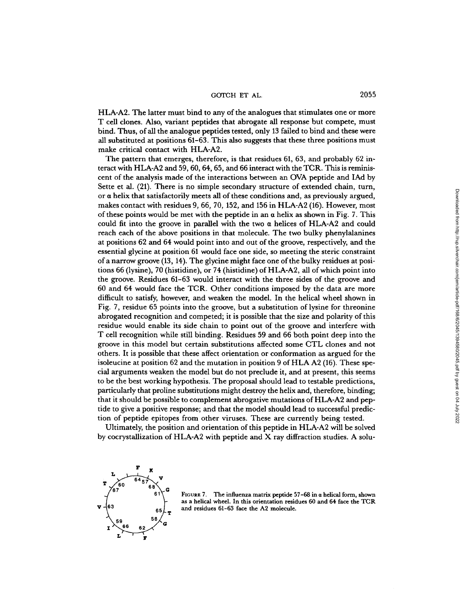HLA-A2. The latter must bind to any of the analogues that stimulates one or more <sup>T</sup> cell clones. Also, variant peptides that abrogate all response but compete, must bind. Thus, ofall the analogue peptides tested, only <sup>13</sup> failed to bind and these were all substituted at positions 61-63. This also suggests that these three positions must make critical contact with HLA-A2.

The pattern that emerges, therefore, is that residues 61, 63, and probably 62 interact with HLA-A2 and 59, 60, 64, 65, and <sup>66</sup> interact with the TCR. This is reminiscent of the analysis made of the interactions between an OVA peptide and IAd by Sette et al. (21) . There is no simple secondary structure of extended chain, turn, or a helix that satisfactorily meets all of these conditions and, as previously argued, makes contact with residues 9, 66, 70, 152, and 156 in HLA-A2 (16) . However, most of these points would be met with the peptide in an  $\alpha$  helix as shown in Fig. 7. This could fit into the groove in parallel with the two a helices of HLA-A2 and could reach each of the above positions in that molecule . The two bulky phenylalanines at positions 62 and 64 would point into and out of the groove, respectively, and the essential glycine at position 61 would face one side, so meeting the steric constraint of a narrow groove (13, 14). Theglycine might face one of the bulky residues at positions 66 (lysine), 70 (histidine), or 74 (histidine) of HLA-A2, all of which point into the groove . Residues 61-63 would interact with the three sides of the groove and <sup>60</sup> and <sup>64</sup> would face the TCR. Other conditions imposed by the data are more difficult to satisfy, however, and weaken the model. In the helical wheel shown in Fig. 7, residue 65 points into the groove, but a substitution of lysine for threonine abrogated recognition and competed; it is possible that the size and polarity of this residue would enable its side chain to point out of the groove and interfere with T cell recognition while still binding. Residues 59 and 66 both point deep into the groove in this model but certain substitutions affected some CTL clones and not others . It is possible that these affect orientation or conformation as argued for the isoleucine at position 62 and the mutation in position 9 of HLA A2 (16) . These special arguments weaken the model but do not preclude it, and at present, this seems to be the best working hypothesis. The proposal should lead to testable predictions, particularly that proline substitutions might destroy the helix and, therefore, binding; that it should be possible to complement abrogative mutations of HLA-A2 and peptide to give a positive response; and that the model should lead to successful prediction of peptide epitopes from other viruses. These are currently being tested. ily meets all of these conditions and, as previously argued,<br>sues 9, 66; 70, 152, and 156 in HLA-A2 (16). However, most<br>met with the poptide in an a helix as abown in Fig. 7. This<br>in parallel with the two a helices of HLA

Ultimately, the position and orientation of this peptide in HLA-A2 will be solved by cocrystallization of HLA-A2 with peptide and Xray diffraction studies. A solu-



FIGURE 7. The influenza matrix peptide 57-68 in  $\alpha$  helical form, shown as <sup>a</sup> helical wheel. In this orientation residues <sup>60</sup> and <sup>64</sup> face the TCR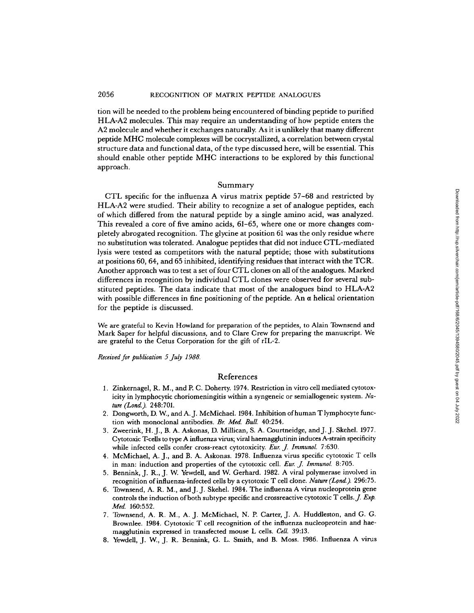## 2056 RECOGNITION OF MATRIX PEPTIDE ANALOGUES

tion will be needed to the problem being encountered of binding peptide to purified HLA-A2 molecules. This may require an understanding of how peptide enters the A2 molecule and whether it exchanges naturally. As it is unlikely that many different peptide MHC molecule complexes will be cocrystallized, a correlation between crystal structure data and functional data, of the type discussed here, will be essential. This should enable other peptide MHC interactions to be explored by this functional approach.

#### Summary

CTL specific for the influenza A virus matrix peptide 57-68 and restricted by HLA-A2 were studied. Their ability to recognize a set of analogue peptides, each of which differed from the natural peptide by a single amino acid, was analyzed. This revealed a core of five amino acids, 61-65, where one or more changes completely abrogated recognition. The glycine at position <sup>61</sup> was the only residue where no substitution was tolerated. Analogue peptides that did not induce CTL-mediated lysis were tested as competitors with the natural peptide; those with substitutions at positions 60, 64, and <sup>65</sup> inhibited, identifying residues that interact with the TCR. Another approach was to test a set of four CTL clones on all ofthe analogues. Marked differences in recognition by individual CTL clones were observed for several substituted peptides. The data indicate that most of the analogues bind to HLA-A2 with possible differences in fine positioning of the peptide. An  $\alpha$  helical orientation for the peptide is discussed.

We are grateful to Kevin Howland for preparation of the peptides, to Alain Townsend and Mark Saper for helpful discussions, and to Clare Crew for preparing the manuscript. We are grateful to the Cetus Corporation for the gift of rIL-2.

Received far publication 5July 1988.

#### References

- <sup>1</sup> . Zinkernagel, R. M., and P C. Doherty. 1974. Restriction in vitro cell mediated cytotoxicity in lymphocytic choriomeningitis within a syngeneic or semiallogeneic system.  $Na$ ture (Lond.). 248:701.
- 2. Dongworth, D. W., and A. J. McMichael. 1984. Inhibition of human T lymphocyte function with monoclonal antibodies. Br. Med. Bull. 40:254.
- 3. Zweerink, H. J., B. A. Askonas, D. Millican, S. A. Courtneidge, and J. J. Skehel. 1977. Cytotoxi c Tcells to type A influenza virus ; viral haemagglutinin induces A-strain specificity while infected cells confer cross-react cytotoxicity. Eur. J. Immunol. 7:630.
- 4. McMichael, A. J., and B. A. Askonas. 1978. Influenza virus specific cytotoxic T cells in man: induction and properties of the cytotoxic cell. Eur. J. Immunol. 8:705.<br>5. Bennink, J. R., J. W. Yewdell, and W. Gerhard. 1982. A viral polymerase involved in
- recognition of influenza-infected cells by a cytotoxic T cell clone. *Nature (Lond.).* 296:75.
- 6. Townsend, A. R. M., andJ. J. Skehel . 1984. The influenza A virus nucleoprotein gene controls the induction of both subtype specific and crossreactive cytotoxic  $T$  cells.  $J. Exp.$ Med. 160:552.
- 7. Townsend, A. R. M., A. J. McMichael, N. P. Carter, J. A. Huddleston, and G. G. Brownlee. 1984. Cytotoxic T cell recognition of the influenza nucleoprotein and haemagglutinin expressed in transfected mouse L cells. Cell. 39:13.
- 8. Yewdell, J. W., J. R. Bennink, G. L. Smith, and B. Moss. 1986. Influenza <sup>A</sup> virus